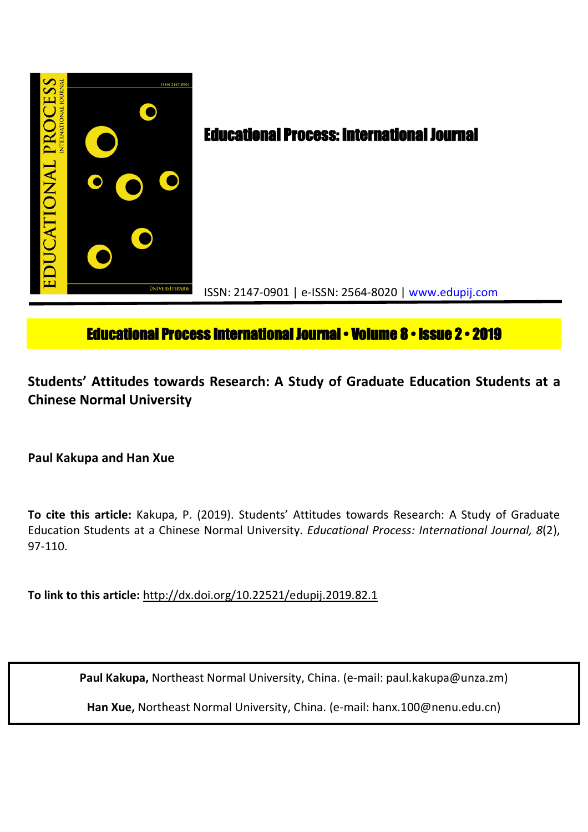

# **Educational Process International Journal • Volume 8 • Issue 2 • 2019**

**Students' Attitudes towards Research: A Study of Graduate Education Students at a Chinese Normal University**

**Paul Kakupa and Han Xue**

**To cite this article:** Kakupa, P. (2019). Students' Attitudes towards Research: A Study of Graduate Education Students at a Chinese Normal University. *Educational Process: International Journal, 8*(2), 97-110.

**To link to this article:** http://dx.doi.org/10.22521/edupij.2019.82.1

**Paul Kakupa,** Northeast Normal University, China. (e-mail: paul.kakupa@unza.zm)

**Han Xue,** Northeast Normal University, China. (e-mail: hanx.100@nenu.edu.cn)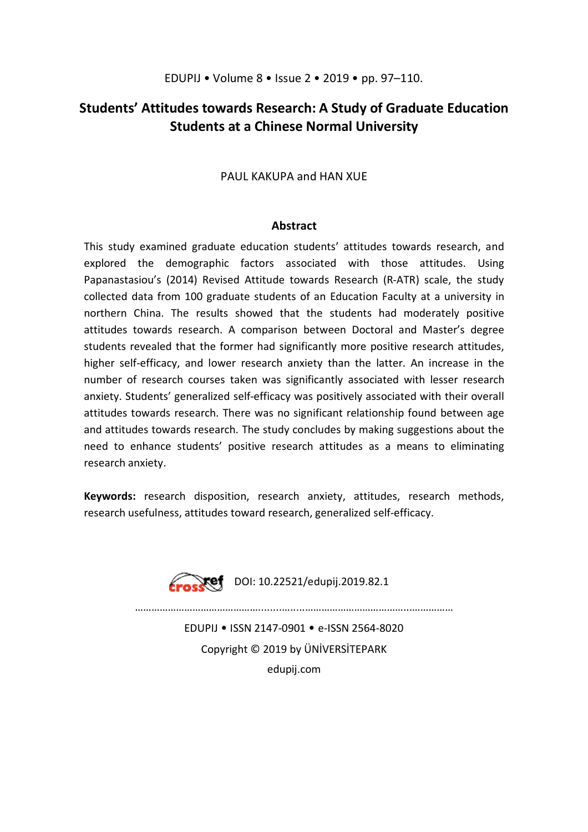## **Students' Attitudes towards Research: A Study of Graduate Education Students at a Chinese Normal University**

## PAUL KAKUPA and HAN XUE

#### **Abstract**

This study examined graduate education students' attitudes towards research, and explored the demographic factors associated with those attitudes. Using Papanastasiou's (2014) Revised Attitude towards Research (R-ATR) scale, the study collected data from 100 graduate students of an Education Faculty at a university in northern China. The results showed that the students had moderately positive attitudes towards research. A comparison between Doctoral and Master's degree students revealed that the former had significantly more positive research attitudes, higher self-efficacy, and lower research anxiety than the latter. An increase in the number of research courses taken was significantly associated with lesser research anxiety. Students' generalized self-efficacy was positively associated with their overall attitudes towards research. There was no significant relationship found between age and attitudes towards research. The study concludes by making suggestions about the need to enhance students' positive research attitudes as a means to eliminating research anxiety.

**Keywords:** research disposition, research anxiety, attitudes, research methods, research usefulness, attitudes toward research, generalized self-efficacy.



EDUPIJ • ISSN 2147-0901 • e-ISSN 2564-8020 Copyright © 2019 by ÜNİVERSİTEPARK edupij.com

 $\mathcal{L}^{\text{max}}$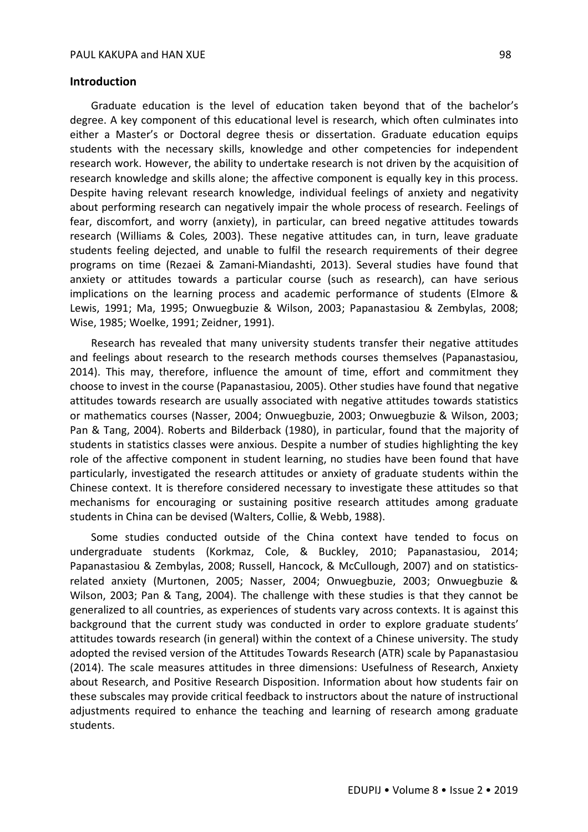#### **Introduction**

Graduate education is the level of education taken beyond that of the bachelor's degree. A key component of this educational level is research, which often culminates into either a Master's or Doctoral degree thesis or dissertation. Graduate education equips students with the necessary skills, knowledge and other competencies for independent research work. However, the ability to undertake research is not driven by the acquisition of research knowledge and skills alone; the affective component is equally key in this process. Despite having relevant research knowledge, individual feelings of anxiety and negativity about performing research can negatively impair the whole process of research. Feelings of fear, discomfort, and worry (anxiety), in particular, can breed negative attitudes towards research (Williams & Coles*,* 2003). These negative attitudes can, in turn, leave graduate students feeling dejected, and unable to fulfil the research requirements of their degree programs on time (Rezaei & Zamani-Miandashti, 2013). Several studies have found that anxiety or attitudes towards a particular course (such as research), can have serious implications on the learning process and academic performance of students (Elmore & Lewis, 1991; Ma, 1995; Onwuegbuzie & Wilson, 2003; Papanastasiou & Zembylas, 2008; Wise, 1985; Woelke, 1991; Zeidner, 1991).

Research has revealed that many university students transfer their negative attitudes and feelings about research to the research methods courses themselves (Papanastasiou, 2014). This may, therefore, influence the amount of time, effort and commitment they choose to invest in the course (Papanastasiou, 2005). Other studies have found that negative attitudes towards research are usually associated with negative attitudes towards statistics or mathematics courses (Nasser, 2004; Onwuegbuzie, 2003; Onwuegbuzie & Wilson, 2003; Pan & Tang, 2004). Roberts and Bilderback (1980), in particular, found that the majority of students in statistics classes were anxious. Despite a number of studies highlighting the key role of the affective component in student learning, no studies have been found that have particularly, investigated the research attitudes or anxiety of graduate students within the Chinese context. It is therefore considered necessary to investigate these attitudes so that mechanisms for encouraging or sustaining positive research attitudes among graduate students in China can be devised (Walters, Collie, & Webb, 1988).

Some studies conducted outside of the China context have tended to focus on undergraduate students (Korkmaz, Cole, & Buckley, 2010; Papanastasiou, 2014; Papanastasiou & Zembylas, 2008; Russell, Hancock, & McCullough, 2007) and on statisticsrelated anxiety (Murtonen, 2005; Nasser, 2004; Onwuegbuzie, 2003; Onwuegbuzie & Wilson, 2003; Pan & Tang, 2004). The challenge with these studies is that they cannot be generalized to all countries, as experiences of students vary across contexts. It is against this background that the current study was conducted in order to explore graduate students' attitudes towards research (in general) within the context of a Chinese university. The study adopted the revised version of the Attitudes Towards Research (ATR) scale by Papanastasiou (2014). The scale measures attitudes in three dimensions: Usefulness of Research, Anxiety about Research, and Positive Research Disposition. Information about how students fair on these subscales may provide critical feedback to instructors about the nature of instructional adjustments required to enhance the teaching and learning of research among graduate students.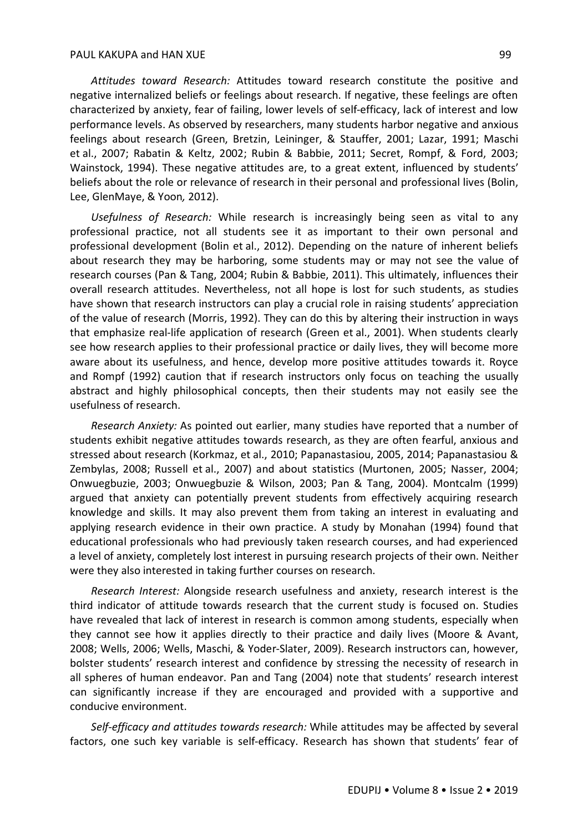*Attitudes toward Research:* Attitudes toward research constitute the positive and negative internalized beliefs or feelings about research. If negative, these feelings are often characterized by anxiety, fear of failing, lower levels of self-efficacy, lack of interest and low performance levels. As observed by researchers, many students harbor negative and anxious feelings about research (Green, Bretzin, Leininger, & Stauffer, 2001; Lazar, 1991; Maschi et al., 2007; Rabatin & Keltz, 2002; Rubin & Babbie, 2011; Secret, Rompf, & Ford, 2003; Wainstock, 1994). These negative attitudes are, to a great extent, influenced by students' beliefs about the role or relevance of research in their personal and professional lives (Bolin, Lee, GlenMaye, & Yoon*,* 2012).

*Usefulness of Research:* While research is increasingly being seen as vital to any professional practice, not all students see it as important to their own personal and professional development (Bolin et al., 2012). Depending on the nature of inherent beliefs about research they may be harboring, some students may or may not see the value of research courses (Pan & Tang, 2004; Rubin & Babbie, 2011). This ultimately, influences their overall research attitudes. Nevertheless, not all hope is lost for such students, as studies have shown that research instructors can play a crucial role in raising students' appreciation of the value of research (Morris, 1992). They can do this by altering their instruction in ways that emphasize real-life application of research (Green et al., 2001). When students clearly see how research applies to their professional practice or daily lives, they will become more aware about its usefulness, and hence, develop more positive attitudes towards it. Royce and Rompf (1992) caution that if research instructors only focus on teaching the usually abstract and highly philosophical concepts, then their students may not easily see the usefulness of research.

*Research Anxiety:* As pointed out earlier, many studies have reported that a number of students exhibit negative attitudes towards research, as they are often fearful, anxious and stressed about research (Korkmaz, et al., 2010; Papanastasiou, 2005, 2014; Papanastasiou & Zembylas, 2008; Russell et al., 2007) and about statistics (Murtonen, 2005; Nasser, 2004; Onwuegbuzie, 2003; Onwuegbuzie & Wilson, 2003; Pan & Tang, 2004). Montcalm (1999) argued that anxiety can potentially prevent students from effectively acquiring research knowledge and skills. It may also prevent them from taking an interest in evaluating and applying research evidence in their own practice. A study by Monahan (1994) found that educational professionals who had previously taken research courses, and had experienced a level of anxiety, completely lost interest in pursuing research projects of their own. Neither were they also interested in taking further courses on research.

*Research Interest:* Alongside research usefulness and anxiety, research interest is the third indicator of attitude towards research that the current study is focused on. Studies have revealed that lack of interest in research is common among students, especially when they cannot see how it applies directly to their practice and daily lives (Moore & Avant, 2008; Wells, 2006; Wells, Maschi, & Yoder-Slater, 2009). Research instructors can, however, bolster students' research interest and confidence by stressing the necessity of research in all spheres of human endeavor. Pan and Tang (2004) note that students' research interest can significantly increase if they are encouraged and provided with a supportive and conducive environment.

*Self-efficacy and attitudes towards research:* While attitudes may be affected by several factors, one such key variable is self-efficacy. Research has shown that students' fear of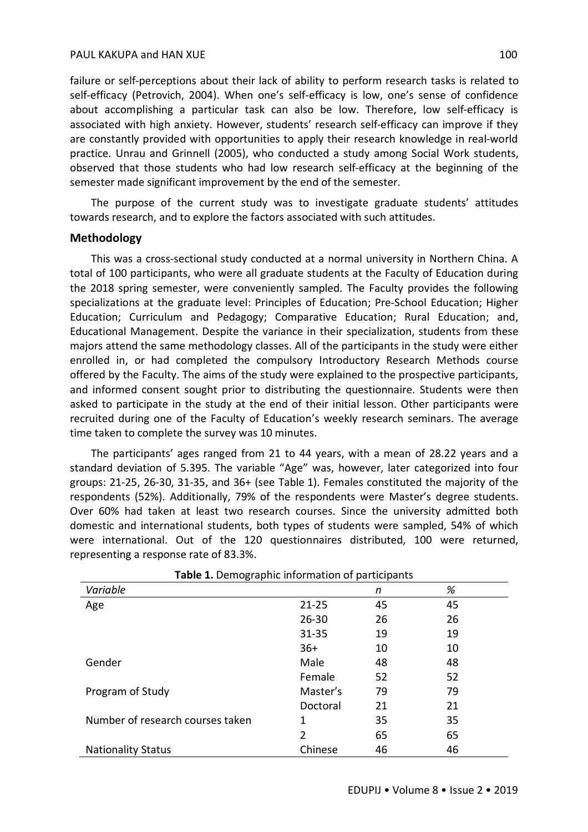failure or self-perceptions about their lack of ability to perform research tasks is related to self-efficacy (Petrovich, 2004). When one's self-efficacy is low, one's sense of confidence about accomplishing a particular task can also be low. Therefore, low self-efficacy is associated with high anxiety. However, students' research self-efficacy can improve if they are constantly provided with opportunities to apply their research knowledge in real-world practice. Unrau and Grinnell (2005), who conducted a study among Social Work students, observed that those students who had low research self-efficacy at the beginning of the semester made significant improvement by the end of the semester.

The purpose of the current study was to investigate graduate students' attitudes towards research, and to explore the factors associated with such attitudes.

## **Methodology**

This was a cross-sectional study conducted at a normal university in Northern China. A total of 100 participants, who were all graduate students at the Faculty of Education during the 2018 spring semester, were conveniently sampled. The Faculty provides the following specializations at the graduate level: Principles of Education; Pre-School Education; Higher Education; Curriculum and Pedagogy; Comparative Education; Rural Education; and, Educational Management. Despite the variance in their specialization, students from these majors attend the same methodology classes. All of the participants in the study were either enrolled in, or had completed the compulsory Introductory Research Methods course offered by the Faculty. The aims of the study were explained to the prospective participants, and informed consent sought prior to distributing the questionnaire. Students were then asked to participate in the study at the end of their initial lesson. Other participants were recruited during one of the Faculty of Education's weekly research seminars. The average time taken to complete the survey was 10 minutes.

The participants' ages ranged from 21 to 44 years, with a mean of 28.22 years and a standard deviation of 5.395. The variable "Age" was, however, later categorized into four groups: 21-25, 26-30, 31-35, and 36+ (see Table 1). Females constituted the majority of the respondents (52%). Additionally, 79% of the respondents were Master's degree students. Over 60% had taken at least two research courses. Since the university admitted both domestic and international students, both types of students were sampled, 54% of which were international. Out of the 120 questionnaires distributed, 100 were returned, representing a response rate of 83.3%.

| <b>Table 1.</b> Define applie information or participants |                |    |    |  |  |  |
|-----------------------------------------------------------|----------------|----|----|--|--|--|
| Variable                                                  |                | n  | %  |  |  |  |
| Age                                                       | $21 - 25$      | 45 | 45 |  |  |  |
|                                                           | $26 - 30$      | 26 | 26 |  |  |  |
|                                                           | $31 - 35$      | 19 | 19 |  |  |  |
|                                                           | $36+$          | 10 | 10 |  |  |  |
| Gender                                                    | Male           | 48 | 48 |  |  |  |
|                                                           | Female         | 52 | 52 |  |  |  |
| Program of Study                                          | Master's       | 79 | 79 |  |  |  |
|                                                           | Doctoral       | 21 | 21 |  |  |  |
| Number of research courses taken                          | 1              | 35 | 35 |  |  |  |
|                                                           | $\overline{2}$ | 65 | 65 |  |  |  |
| <b>Nationality Status</b>                                 | Chinese        | 46 | 46 |  |  |  |

**Table 1.** Demographic information of participants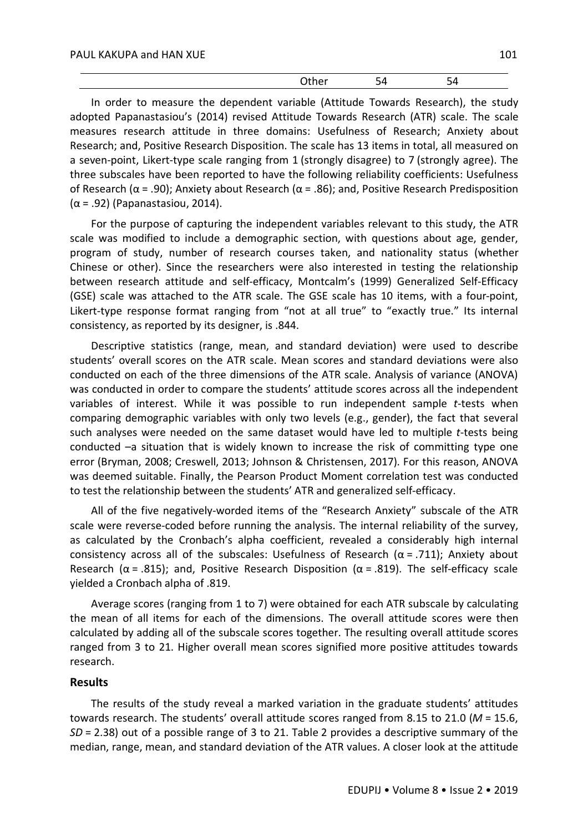|--|--|--|--|--|--|

In order to measure the dependent variable (Attitude Towards Research), the study adopted Papanastasiou's (2014) revised Attitude Towards Research (ATR) scale. The scale measures research attitude in three domains: Usefulness of Research; Anxiety about Research; and, Positive Research Disposition. The scale has 13 items in total, all measured on a seven-point, Likert-type scale ranging from 1 (strongly disagree) to 7 (strongly agree). The three subscales have been reported to have the following reliability coefficients: Usefulness of Research ( $\alpha$  = .90); Anxiety about Research ( $\alpha$  = .86); and, Positive Research Predisposition  $(\alpha = .92)$  (Papanastasiou, 2014).

For the purpose of capturing the independent variables relevant to this study, the ATR scale was modified to include a demographic section, with questions about age, gender, program of study, number of research courses taken, and nationality status (whether Chinese or other). Since the researchers were also interested in testing the relationship between research attitude and self-efficacy, Montcalm's (1999) Generalized Self-Efficacy (GSE) scale was attached to the ATR scale. The GSE scale has 10 items, with a four-point, Likert-type response format ranging from "not at all true" to "exactly true." Its internal consistency, as reported by its designer, is .844.

Descriptive statistics (range, mean, and standard deviation) were used to describe students' overall scores on the ATR scale. Mean scores and standard deviations were also conducted on each of the three dimensions of the ATR scale. Analysis of variance (ANOVA) was conducted in order to compare the students' attitude scores across all the independent variables of interest. While it was possible to run independent sample *t*-tests when comparing demographic variables with only two levels (e.g., gender), the fact that several such analyses were needed on the same dataset would have led to multiple *t*-tests being conducted –a situation that is widely known to increase the risk of committing type one error (Bryman, 2008; Creswell, 2013; Johnson & Christensen, 2017). For this reason, ANOVA was deemed suitable. Finally, the Pearson Product Moment correlation test was conducted to test the relationship between the students' ATR and generalized self-efficacy.

All of the five negatively-worded items of the "Research Anxiety" subscale of the ATR scale were reverse-coded before running the analysis. The internal reliability of the survey, as calculated by the Cronbach's alpha coefficient, revealed a considerably high internal consistency across all of the subscales: Usefulness of Research ( $\alpha$  = .711); Anxiety about Research ( $\alpha$  = .815); and, Positive Research Disposition ( $\alpha$  = .819). The self-efficacy scale yielded a Cronbach alpha of .819.

Average scores (ranging from 1 to 7) were obtained for each ATR subscale by calculating the mean of all items for each of the dimensions. The overall attitude scores were then calculated by adding all of the subscale scores together. The resulting overall attitude scores ranged from 3 to 21. Higher overall mean scores signified more positive attitudes towards research.

#### **Results**

The results of the study reveal a marked variation in the graduate students' attitudes towards research. The students' overall attitude scores ranged from 8.15 to 21.0 (*M* = 15.6, *SD* = 2.38) out of a possible range of 3 to 21. Table 2 provides a descriptive summary of the median, range, mean, and standard deviation of the ATR values. A closer look at the attitude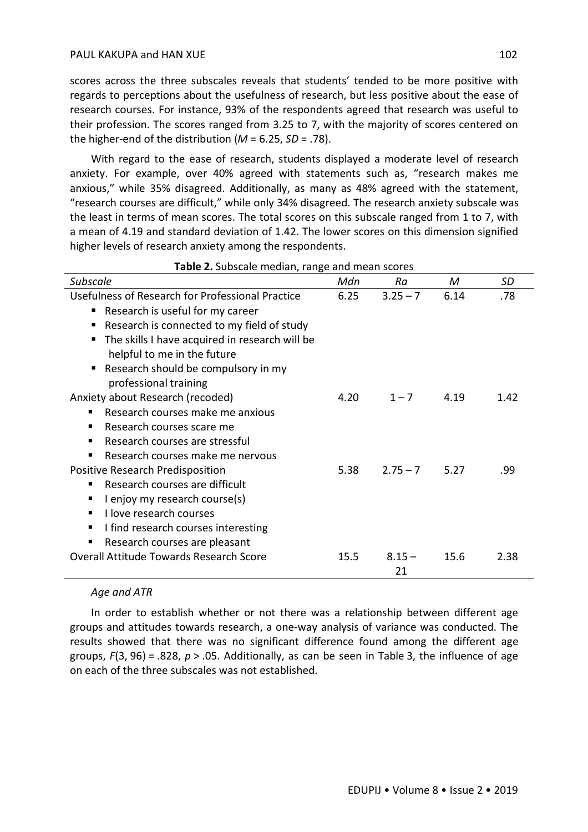scores across the three subscales reveals that students' tended to be more positive with regards to perceptions about the usefulness of research, but less positive about the ease of research courses. For instance, 93% of the respondents agreed that research was useful to their profession. The scores ranged from 3.25 to 7, with the majority of scores centered on the higher-end of the distribution (*M* = 6.25, *SD* = .78).

With regard to the ease of research, students displayed a moderate level of research anxiety. For example, over 40% agreed with statements such as, "research makes me anxious," while 35% disagreed. Additionally, as many as 48% agreed with the statement, "research courses are difficult," while only 34% disagreed. The research anxiety subscale was the least in terms of mean scores. The total scores on this subscale ranged from 1 to 7, with a mean of 4.19 and standard deviation of 1.42. The lower scores on this dimension signified higher levels of research anxiety among the respondents.

| <b>Subscale</b>                                     | Mdn  | Ra         | M    | SD   |
|-----------------------------------------------------|------|------------|------|------|
| Usefulness of Research for Professional Practice    | 6.25 | $3.25 - 7$ | 6.14 | .78  |
| ■ Research is useful for my career                  |      |            |      |      |
| Research is connected to my field of study<br>п     |      |            |      |      |
| The skills I have acquired in research will be<br>п |      |            |      |      |
| helpful to me in the future                         |      |            |      |      |
| Research should be compulsory in my<br>٠            |      |            |      |      |
| professional training                               |      |            |      |      |
| Anxiety about Research (recoded)                    | 4.20 | $1 - 7$    | 4.19 | 1.42 |
| Research courses make me anxious                    |      |            |      |      |
| Research courses scare me                           |      |            |      |      |
| Research courses are stressful                      |      |            |      |      |
| Research courses make me nervous<br>п               |      |            |      |      |
| Positive Research Predisposition                    | 5.38 | $2.75 - 7$ | 5.27 | .99  |
| Research courses are difficult                      |      |            |      |      |
| I enjoy my research course(s)                       |      |            |      |      |
| I love research courses                             |      |            |      |      |
| I find research courses interesting<br>п            |      |            |      |      |
| Research courses are pleasant                       |      |            |      |      |
| <b>Overall Attitude Towards Research Score</b>      | 15.5 | $8.15 -$   | 15.6 | 2.38 |
|                                                     |      | 21         |      |      |

#### **Table 2.** Subscale median, range and mean scores

#### *Age and ATR*

In order to establish whether or not there was a relationship between different age groups and attitudes towards research, a one-way analysis of variance was conducted. The results showed that there was no significant difference found among the different age groups, *F*(3, 96) = .828, *p* > .05. Additionally, as can be seen in Table 3, the influence of age on each of the three subscales was not established.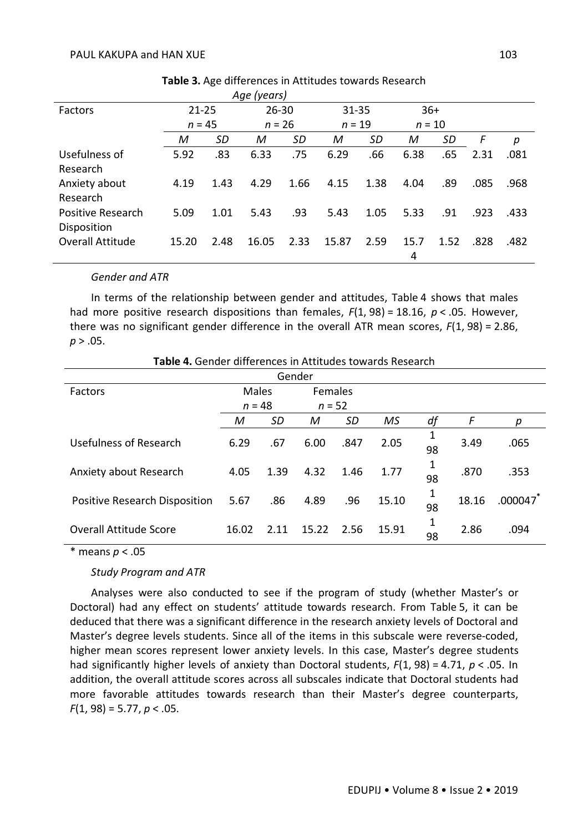|                                  |           |      | Age (years) |      |           |      |           |      |      |      |
|----------------------------------|-----------|------|-------------|------|-----------|------|-----------|------|------|------|
| Factors                          | $21 - 25$ |      | $26 - 30$   |      | $31 - 35$ |      | $36+$     |      |      |      |
|                                  | $n = 45$  |      | $n = 26$    |      | $n = 19$  |      | $n = 10$  |      |      |      |
|                                  | M         | SD   | M           | SD   | М         | SD   | М         | SD   | F    | р    |
| Usefulness of<br>Research        | 5.92      | .83  | 6.33        | .75  | 6.29      | .66  | 6.38      | .65  | 2.31 | .081 |
| Anxiety about<br>Research        | 4.19      | 1.43 | 4.29        | 1.66 | 4.15      | 1.38 | 4.04      | .89  | .085 | .968 |
| Positive Research<br>Disposition | 5.09      | 1.01 | 5.43        | .93  | 5.43      | 1.05 | 5.33      | .91  | .923 | .433 |
| <b>Overall Attitude</b>          | 15.20     | 2.48 | 16.05       | 2.33 | 15.87     | 2.59 | 15.7<br>4 | 1.52 | .828 | .482 |

**Table 3.** Age differences in Attitudes towards Research

#### *Gender and ATR*

In terms of the relationship between gender and attitudes, Table 4 shows that males had more positive research dispositions than females, *F*(1, 98) = 18.16, *p* < .05. However, there was no significant gender difference in the overall ATR mean scores, *F*(1, 98) = 2.86, *p* > .05.

| Table 4. Gender differences in Attitudes towards Research |  |  |  |
|-----------------------------------------------------------|--|--|--|
|-----------------------------------------------------------|--|--|--|

|                               |          |      | Gender         |           |       |         |       |         |
|-------------------------------|----------|------|----------------|-----------|-------|---------|-------|---------|
| Factors                       | Males    |      | <b>Females</b> |           |       |         |       |         |
|                               | $n = 48$ |      | $n = 52$       |           |       |         |       |         |
|                               | M        | SD   | M              | <b>SD</b> | MS    | df      | F     | р       |
| Usefulness of Research        | 6.29     | .67  | 6.00           | .847      | 2.05  | 98      | 3.49  | .065    |
| Anxiety about Research        | 4.05     | 1.39 | 4.32           | 1.46      | 1.77  | 1<br>98 | .870  | .353    |
| Positive Research Disposition | 5.67     | .86  | 4.89           | .96       | 15.10 | 1<br>98 | 18.16 | .000047 |
| <b>Overall Attitude Score</b> | 16.02    | 2.11 | 15.22          | 2.56      | 15.91 | 1<br>98 | 2.86  | .094    |

\* means *p* < .05

#### *Study Program and ATR*

Analyses were also conducted to see if the program of study (whether Master's or Doctoral) had any effect on students' attitude towards research. From Table 5, it can be deduced that there was a significant difference in the research anxiety levels of Doctoral and Master's degree levels students. Since all of the items in this subscale were reverse-coded, higher mean scores represent lower anxiety levels. In this case, Master's degree students had significantly higher levels of anxiety than Doctoral students, *F*(1, 98) = 4.71, *p* < .05. In addition, the overall attitude scores across all subscales indicate that Doctoral students had more favorable attitudes towards research than their Master's degree counterparts, *F*(1, 98) = 5.77, *p* < .05.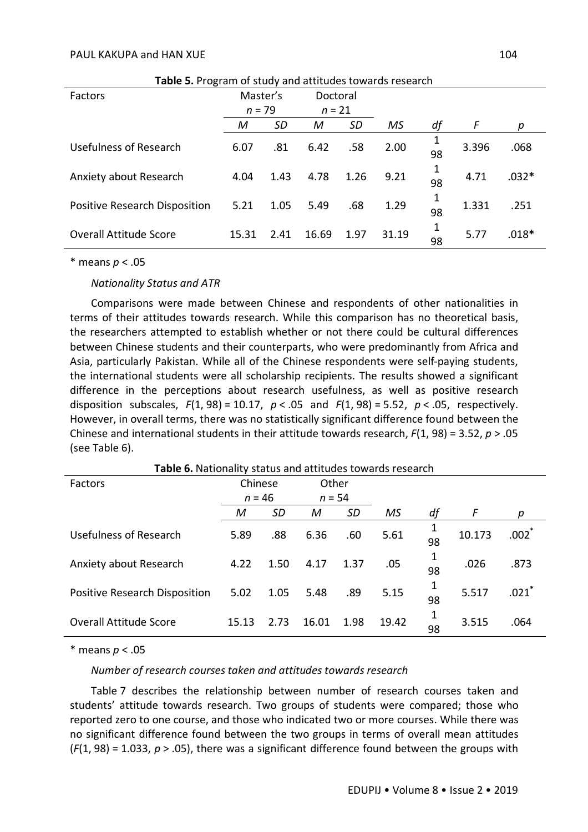| <b>Table 5.</b> Flugialli of study and attitudes towards research |          |      |          |      |       |         |       |         |
|-------------------------------------------------------------------|----------|------|----------|------|-------|---------|-------|---------|
| Factors                                                           | Master's |      | Doctoral |      |       |         |       |         |
|                                                                   | $n = 79$ |      | $n = 21$ |      |       |         |       |         |
|                                                                   | М        | SD   | М        | SD   | MS    | df      | F     | р       |
| Usefulness of Research                                            | 6.07     | .81  | 6.42     | .58  | 2.00  | 98      | 3.396 | .068    |
| Anxiety about Research                                            | 4.04     | 1.43 | 4.78     | 1.26 | 9.21  | 1<br>98 | 4.71  | $.032*$ |
| Positive Research Disposition                                     | 5.21     | 1.05 | 5.49     | .68  | 1.29  | 1<br>98 | 1.331 | .251    |
| <b>Overall Attitude Score</b>                                     | 15.31    | 2.41 | 16.69    | 1.97 | 31.19 | 1<br>98 | 5.77  | $.018*$ |

**Table 5.** Program of study and attitudes towards research

\* means *p* < .05

*Nationality Status and ATR*

Comparisons were made between Chinese and respondents of other nationalities in terms of their attitudes towards research. While this comparison has no theoretical basis, the researchers attempted to establish whether or not there could be cultural differences between Chinese students and their counterparts, who were predominantly from Africa and Asia, particularly Pakistan. While all of the Chinese respondents were self-paying students, the international students were all scholarship recipients. The results showed a significant difference in the perceptions about research usefulness, as well as positive research disposition subscales, *F*(1, 98) = 10.17, *p* < .05 and *F*(1, 98) = 5.52, *p* < .05, respectively. However, in overall terms, there was no statistically significant difference found between the Chinese and international students in their attitude towards research, *F*(1, 98) = 3.52, *p* > .05 (see Table 6).

**Table 6.** Nationality status and attitudes towards research

| Factors                       | Chinese  |      | Other    |           |       |         |        |            |
|-------------------------------|----------|------|----------|-----------|-------|---------|--------|------------|
|                               | $n = 46$ |      | $n = 54$ |           |       |         |        |            |
|                               | M        | SD   | M        | <b>SD</b> | MS    | df      | F      | р          |
| Usefulness of Research        | 5.89     | .88  | 6.36     | .60       | 5.61  | 1<br>98 | 10.173 | $.002^{*}$ |
| Anxiety about Research        | 4.22     | 1.50 | 4.17     | 1.37      | .05   | 98      | .026   | .873       |
| Positive Research Disposition | 5.02     | 1.05 | 5.48     | .89       | 5.15  | 98      | 5.517  | .021       |
| <b>Overall Attitude Score</b> | 15.13    | 2.73 | 16.01    | 1.98      | 19.42 | 98      | 3.515  | .064       |

\* means *p* < .05

#### *Number of research courses taken and attitudes towards research*

Table 7 describes the relationship between number of research courses taken and students' attitude towards research. Two groups of students were compared; those who reported zero to one course, and those who indicated two or more courses. While there was no significant difference found between the two groups in terms of overall mean attitudes (*F*(1, 98) = 1.033, *p* > .05), there was a significant difference found between the groups with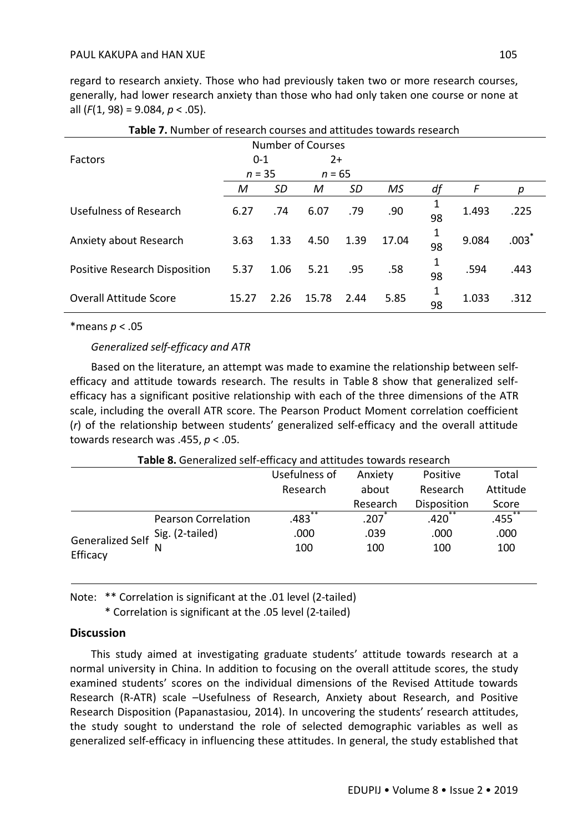regard to research anxiety. Those who had previously taken two or more research courses, generally, had lower research anxiety than those who had only taken one course or none at all (*F*(1, 98) = 9.084, *p* < .05).

| <b>Table 7.</b> Number of research courses and attitudes towards research |          |      |          |           |           |         |       |                     |
|---------------------------------------------------------------------------|----------|------|----------|-----------|-----------|---------|-------|---------------------|
| <b>Number of Courses</b>                                                  |          |      |          |           |           |         |       |                     |
| Factors                                                                   | $0 - 1$  |      | $2+$     |           |           |         |       |                     |
|                                                                           | $n = 35$ |      | $n = 65$ |           |           |         |       |                     |
|                                                                           | М        | SD   | M        | <b>SD</b> | <b>MS</b> | df      | F     | р                   |
| Usefulness of Research                                                    | 6.27     | .74  | 6.07     | .79       | .90       | 1<br>98 | 1.493 | .225                |
| Anxiety about Research                                                    | 3.63     | 1.33 | 4.50     | 1.39      | 17.04     | 1<br>98 | 9.084 | $.003$ <sup>*</sup> |
| Positive Research Disposition                                             | 5.37     | 1.06 | 5.21     | .95       | .58       | 1<br>98 | .594  | .443                |
| <b>Overall Attitude Score</b>                                             | 15.27    | 2.26 | 15.78    | 2.44      | 5.85      | 1<br>98 | 1.033 | .312                |

| Table 7. Number of research courses and attitudes towards research |
|--------------------------------------------------------------------|
|--------------------------------------------------------------------|

\*means *p* < .05

### *Generalized self-efficacy and ATR*

Based on the literature, an attempt was made to examine the relationship between selfefficacy and attitude towards research. The results in Table 8 show that generalized selfefficacy has a significant positive relationship with each of the three dimensions of the ATR scale, including the overall ATR score. The Pearson Product Moment correlation coefficient (*r*) of the relationship between students' generalized self-efficacy and the overall attitude towards research was .455, *p* < .05.

|                                  | <b>Table of</b> Ochiclandca Schi childaey and attitudes to Mards research |               |          |             |           |
|----------------------------------|---------------------------------------------------------------------------|---------------|----------|-------------|-----------|
|                                  |                                                                           | Usefulness of | Anxiety  | Positive    | Total     |
|                                  |                                                                           | Research      | about    | Research    | Attitude  |
|                                  |                                                                           |               | Research | Disposition | Score     |
|                                  | <b>Pearson Correlation</b>                                                | **<br>.483    | .207     | $.420^{**}$ | $.455***$ |
| Generalized Self Sig. (2-tailed) |                                                                           | .000          | .039     | .000        | .000      |
| Efficacy                         |                                                                           | 100           | 100      | 100         | 100       |

**Table 8.** Generalized self-efficacy and attitudes towards research

Note: \*\* Correlation is significant at the .01 level (2-tailed)

\* Correlation is significant at the .05 level (2-tailed)

## **Discussion**

This study aimed at investigating graduate students' attitude towards research at a normal university in China. In addition to focusing on the overall attitude scores, the study examined students' scores on the individual dimensions of the Revised Attitude towards Research (R-ATR) scale –Usefulness of Research, Anxiety about Research, and Positive Research Disposition (Papanastasiou, 2014). In uncovering the students' research attitudes, the study sought to understand the role of selected demographic variables as well as generalized self-efficacy in influencing these attitudes. In general, the study established that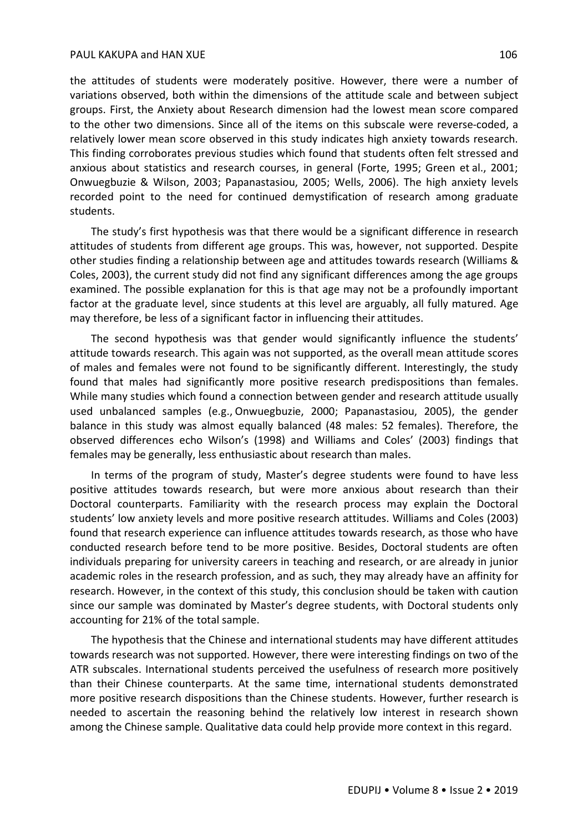the attitudes of students were moderately positive. However, there were a number of variations observed, both within the dimensions of the attitude scale and between subject groups. First, the Anxiety about Research dimension had the lowest mean score compared to the other two dimensions. Since all of the items on this subscale were reverse-coded, a relatively lower mean score observed in this study indicates high anxiety towards research. This finding corroborates previous studies which found that students often felt stressed and anxious about statistics and research courses, in general (Forte, 1995; Green et al., 2001; Onwuegbuzie & Wilson, 2003; Papanastasiou, 2005; Wells, 2006). The high anxiety levels recorded point to the need for continued demystification of research among graduate students.

The study's first hypothesis was that there would be a significant difference in research attitudes of students from different age groups. This was, however, not supported. Despite other studies finding a relationship between age and attitudes towards research (Williams & Coles, 2003), the current study did not find any significant differences among the age groups examined. The possible explanation for this is that age may not be a profoundly important factor at the graduate level, since students at this level are arguably, all fully matured. Age may therefore, be less of a significant factor in influencing their attitudes.

The second hypothesis was that gender would significantly influence the students' attitude towards research. This again was not supported, as the overall mean attitude scores of males and females were not found to be significantly different. Interestingly, the study found that males had significantly more positive research predispositions than females. While many studies which found a connection between gender and research attitude usually used unbalanced samples (e.g., Onwuegbuzie, 2000; Papanastasiou, 2005), the gender balance in this study was almost equally balanced (48 males: 52 females). Therefore, the observed differences echo Wilson's (1998) and Williams and Coles' (2003) findings that females may be generally, less enthusiastic about research than males.

In terms of the program of study, Master's degree students were found to have less positive attitudes towards research, but were more anxious about research than their Doctoral counterparts. Familiarity with the research process may explain the Doctoral students' low anxiety levels and more positive research attitudes. Williams and Coles (2003) found that research experience can influence attitudes towards research, as those who have conducted research before tend to be more positive. Besides, Doctoral students are often individuals preparing for university careers in teaching and research, or are already in junior academic roles in the research profession, and as such, they may already have an affinity for research. However, in the context of this study, this conclusion should be taken with caution since our sample was dominated by Master's degree students, with Doctoral students only accounting for 21% of the total sample.

The hypothesis that the Chinese and international students may have different attitudes towards research was not supported. However, there were interesting findings on two of the ATR subscales. International students perceived the usefulness of research more positively than their Chinese counterparts. At the same time, international students demonstrated more positive research dispositions than the Chinese students. However, further research is needed to ascertain the reasoning behind the relatively low interest in research shown among the Chinese sample. Qualitative data could help provide more context in this regard.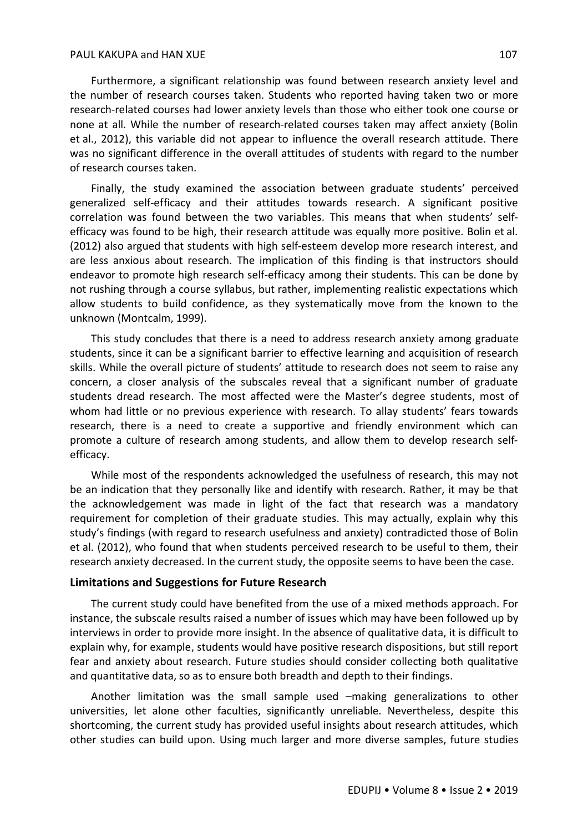#### PAUL KAKUPA and HAN XUE 107

Furthermore, a significant relationship was found between research anxiety level and the number of research courses taken. Students who reported having taken two or more research-related courses had lower anxiety levels than those who either took one course or none at all. While the number of research-related courses taken may affect anxiety (Bolin et al., 2012), this variable did not appear to influence the overall research attitude. There was no significant difference in the overall attitudes of students with regard to the number of research courses taken.

Finally, the study examined the association between graduate students' perceived generalized self-efficacy and their attitudes towards research. A significant positive correlation was found between the two variables. This means that when students' selfefficacy was found to be high, their research attitude was equally more positive. Bolin et al. (2012) also argued that students with high self-esteem develop more research interest, and are less anxious about research. The implication of this finding is that instructors should endeavor to promote high research self-efficacy among their students. This can be done by not rushing through a course syllabus, but rather, implementing realistic expectations which allow students to build confidence, as they systematically move from the known to the unknown (Montcalm, 1999).

This study concludes that there is a need to address research anxiety among graduate students, since it can be a significant barrier to effective learning and acquisition of research skills. While the overall picture of students' attitude to research does not seem to raise any concern, a closer analysis of the subscales reveal that a significant number of graduate students dread research. The most affected were the Master's degree students, most of whom had little or no previous experience with research. To allay students' fears towards research, there is a need to create a supportive and friendly environment which can promote a culture of research among students, and allow them to develop research selfefficacy.

While most of the respondents acknowledged the usefulness of research, this may not be an indication that they personally like and identify with research. Rather, it may be that the acknowledgement was made in light of the fact that research was a mandatory requirement for completion of their graduate studies. This may actually, explain why this study's findings (with regard to research usefulness and anxiety) contradicted those of Bolin et al. (2012), who found that when students perceived research to be useful to them, their research anxiety decreased. In the current study, the opposite seems to have been the case.

#### **Limitations and Suggestions for Future Research**

The current study could have benefited from the use of a mixed methods approach. For instance, the subscale results raised a number of issues which may have been followed up by interviews in order to provide more insight. In the absence of qualitative data, it is difficult to explain why, for example, students would have positive research dispositions, but still report fear and anxiety about research. Future studies should consider collecting both qualitative and quantitative data, so as to ensure both breadth and depth to their findings.

Another limitation was the small sample used –making generalizations to other universities, let alone other faculties, significantly unreliable. Nevertheless, despite this shortcoming, the current study has provided useful insights about research attitudes, which other studies can build upon. Using much larger and more diverse samples, future studies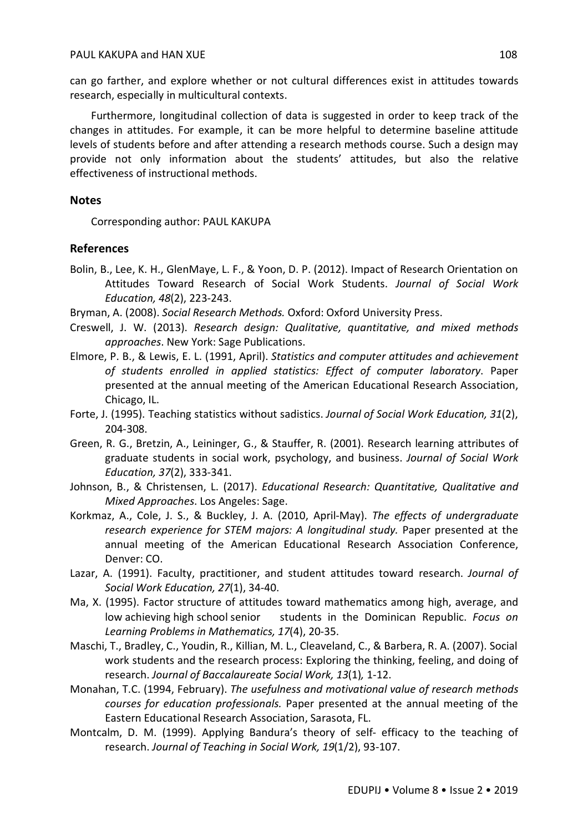can go farther, and explore whether or not cultural differences exist in attitudes towards research, especially in multicultural contexts.

Furthermore, longitudinal collection of data is suggested in order to keep track of the changes in attitudes. For example, it can be more helpful to determine baseline attitude levels of students before and after attending a research methods course. Such a design may provide not only information about the students' attitudes, but also the relative effectiveness of instructional methods.

## **Notes**

Corresponding author: PAUL KAKUPA

## **References**

Bolin, B., Lee, K. H., GlenMaye, L. F., & Yoon, D. P. (2012). Impact of Research Orientation on Attitudes Toward Research of Social Work Students. *Journal of Social Work Education, 48*(2), 223-243.

Bryman, A. (2008). *Social Research Methods.* Oxford: Oxford University Press.

- Creswell, J. W. (2013). *Research design: Qualitative, quantitative, and mixed methods approaches*. New York: Sage Publications.
- Elmore, P. B., & Lewis, E. L. (1991, April). *Statistics and computer attitudes and achievement of students enrolled in applied statistics: Effect of computer laboratory*. Paper presented at the annual meeting of the American Educational Research Association, Chicago, IL.
- Forte, J. (1995). Teaching statistics without sadistics. *Journal of Social Work Education, 31*(2), 204-308.
- Green, R. G., Bretzin, A., Leininger, G., & Stauffer, R. (2001). Research learning attributes of graduate students in social work, psychology, and business. *Journal of Social Work Education, 37*(2), 333-341.
- Johnson, B., & Christensen, L. (2017). *Educational Research: Quantitative, Qualitative and Mixed Approaches*. Los Angeles: Sage.
- Korkmaz, A., Cole, J. S., & Buckley, J. A. (2010, April-May). *The effects of undergraduate*  research experience for STEM majors: A longitudinal study. Paper presented at the annual meeting of the American Educational Research Association Conference, Denver: CO.
- Lazar, A. (1991). Faculty, practitioner, and student attitudes toward research. *Journal of Social Work Education, 27*(1), 34-40.
- Ma, X. (1995). Factor structure of attitudes toward mathematics among high, average, and low achieving high school senior students in the Dominican Republic. *Focus on Learning Problems in Mathematics, 17*(4), 20-35.
- Maschi, T., Bradley, C., Youdin, R., Killian, M. L., Cleaveland, C., & Barbera, R. A. (2007). Social work students and the research process: Exploring the thinking, feeling, and doing of research. *Journal of Baccalaureate Social Work, 13*(1)*,* 1-12.
- Monahan, T.C. (1994, February). *The usefulness and motivational value of research methods courses for education professionals.* Paper presented at the annual meeting of the Eastern Educational Research Association, Sarasota, FL.
- Montcalm, D. M. (1999). Applying Bandura's theory of self- efficacy to the teaching of research. *Journal of Teaching in Social Work, 19*(1/2), 93-107.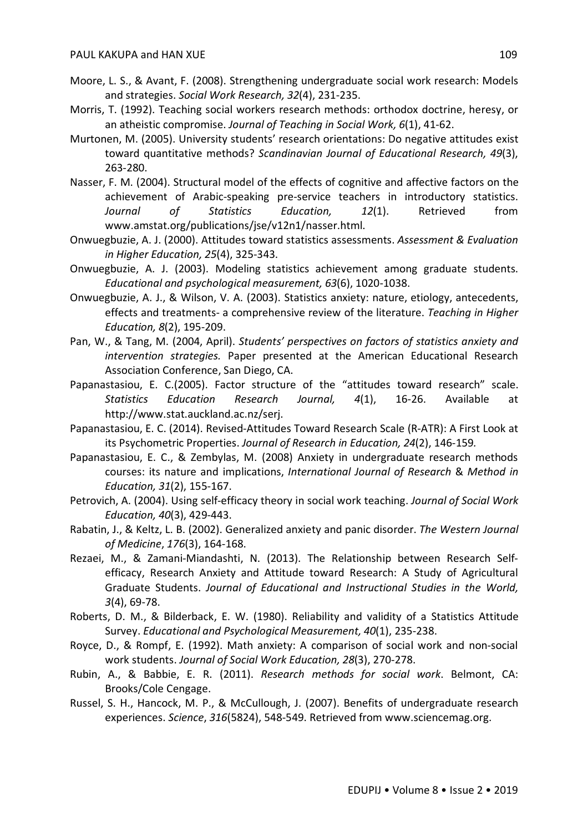- Moore, L. S., & Avant, F. (2008). Strengthening undergraduate social work research: Models and strategies. *Social Work Research, 32*(4), 231-235.
- Morris, T. (1992). Teaching social workers research methods: orthodox doctrine, heresy, or an atheistic compromise. *Journal of Teaching in Social Work, 6*(1), 41-62.
- Murtonen, M. (2005). University students' research orientations: Do negative attitudes exist toward quantitative methods? *Scandinavian Journal of Educational Research, 49*(3), 263-280.
- Nasser, F. M. (2004). Structural model of the effects of cognitive and affective factors on the achievement of Arabic-speaking pre-service teachers in introductory statistics. *Journal of Statistics Education, 12*(1). Retrieved from www.amstat.org/publications/jse/v12n1/nasser.html.
- Onwuegbuzie, A. J. (2000). Attitudes toward statistics assessments. *Assessment & Evaluation in Higher Education, 25*(4), 325-343.
- Onwuegbuzie, A. J. (2003). Modeling statistics achievement among graduate students. *Educational and psychological measurement, 63*(6), 1020-1038.
- Onwuegbuzie, A. J., & Wilson, V. A. (2003). Statistics anxiety: nature, etiology, antecedents, effects and treatments- a comprehensive review of the literature. *Teaching in Higher Education, 8*(2), 195-209.
- Pan, W., & Tang, M. (2004, April). *Students' perspectives on factors of statistics anxiety and intervention strategies.* Paper presented at the American Educational Research Association Conference, San Diego, CA.
- Papanastasiou, E. C.(2005). Factor structure of the "attitudes toward research" scale. *Statistics Education Research Journal, 4*(1), 16-26. Available at http://www.stat.auckland.ac.nz/serj.
- Papanastasiou, E. C. (2014). Revised-Attitudes Toward Research Scale (R-ATR): A First Look at its Psychometric Properties. *Journal of Research in Education, 24*(2), 146-159*.*
- Papanastasiou, E. C., & Zembylas, M. (2008) Anxiety in undergraduate research methods courses: its nature and implications, *International Journal of Research* & *Method in Education, 31*(2), 155-167.
- Petrovich, A. (2004). Using self-efficacy theory in social work teaching. *Journal of Social Work Education, 40*(3), 429-443.
- Rabatin, J., & Keltz, L. B. (2002). Generalized anxiety and panic disorder. *The Western Journal of Medicine*, *176*(3), 164-168.
- Rezaei, M., & Zamani-Miandashti, N. (2013). The Relationship between Research Selfefficacy, Research Anxiety and Attitude toward Research: A Study of Agricultural Graduate Students. *Journal of Educational and Instructional Studies in the World, 3*(4), 69-78.
- Roberts, D. M., & Bilderback, E. W. (1980). Reliability and validity of a Statistics Attitude Survey. *Educational and Psychological Measurement, 40*(1), 235-238.
- Royce, D., & Rompf, E. (1992). Math anxiety: A comparison of social work and non-social work students. *Journal of Social Work Education, 28*(3), 270-278.
- Rubin, A., & Babbie, E. R. (2011). *Research methods for social work*. Belmont, CA: Brooks/Cole Cengage.
- Russel, S. H., Hancock, M. P., & McCullough, J. (2007). Benefits of undergraduate research experiences. *Science*, *316*(5824), 548-549. Retrieved from www.sciencemag.org.